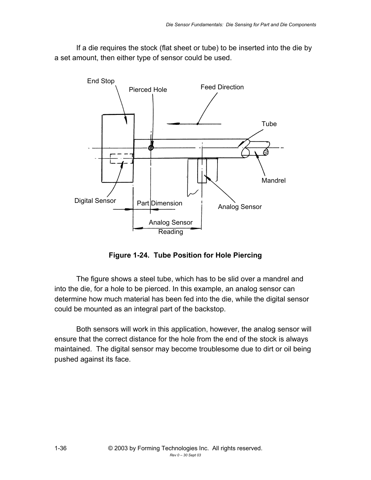If a die requires the stock (flat sheet or tube) to be inserted into the die by a set amount, then either type of sensor could be used.



**Figure 1-24. Tube Position for Hole Piercing**

The figure shows a steel tube, which has to be slid over a mandrel and into the die, for a hole to be pierced. In this example, an analog sensor can determine how much material has been fed into the die, while the digital sensor could be mounted as an integral part of the backstop.

Both sensors will work in this application, however, the analog sensor will ensure that the correct distance for the hole from the end of the stock is always maintained. The digital sensor may become troublesome due to dirt or oil being pushed against its face.